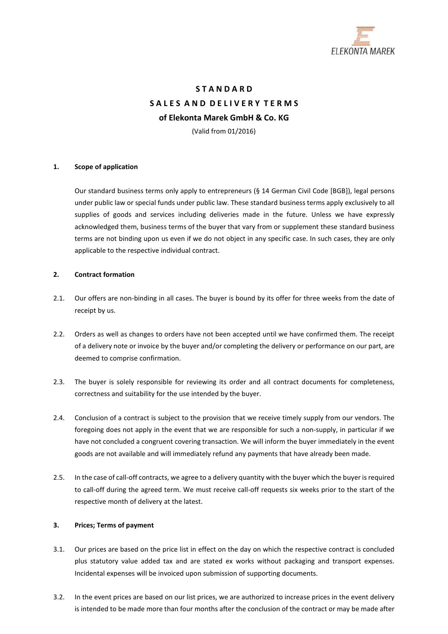

# **S T A N D A R D S A L E S A N D D E L I V E R Y T E R M S of Elekonta Marek GmbH & Co. KG** (Valid from 01/2016)

# **1. Scope of application**

Our standard business terms only apply to entrepreneurs (§ 14 German Civil Code [BGB]), legal persons under public law or special funds under public law. These standard business terms apply exclusively to all supplies of goods and services including deliveries made in the future. Unless we have expressly acknowledged them, business terms of the buyer that vary from or supplement these standard business terms are not binding upon us even if we do not object in any specific case. In such cases, they are only applicable to the respective individual contract.

# **2. Contract formation**

- 2.1. Our offers are non-binding in all cases. The buyer is bound by its offer for three weeks from the date of receipt by us.
- 2.2. Orders as well as changes to orders have not been accepted until we have confirmed them. The receipt of a delivery note or invoice by the buyer and/or completing the delivery or performance on our part, are deemed to comprise confirmation.
- 2.3. The buyer is solely responsible for reviewing its order and all contract documents for completeness, correctness and suitability for the use intended by the buyer.
- 2.4. Conclusion of a contract is subject to the provision that we receive timely supply from our vendors. The foregoing does not apply in the event that we are responsible for such a non-supply, in particular if we have not concluded a congruent covering transaction. We will inform the buyer immediately in the event goods are not available and will immediately refund any payments that have already been made.
- 2.5. In the case of call-off contracts, we agree to a delivery quantity with the buyer which the buyer isrequired to call-off during the agreed term. We must receive call-off requests six weeks prior to the start of the respective month of delivery at the latest.

# **3. Prices; Terms of payment**

- 3.1. Our prices are based on the price list in effect on the day on which the respective contract is concluded plus statutory value added tax and are stated ex works without packaging and transport expenses. Incidental expenses will be invoiced upon submission of supporting documents.
- 3.2. In the event prices are based on our list prices, we are authorized to increase prices in the event delivery is intended to be made more than four months after the conclusion of the contract or may be made after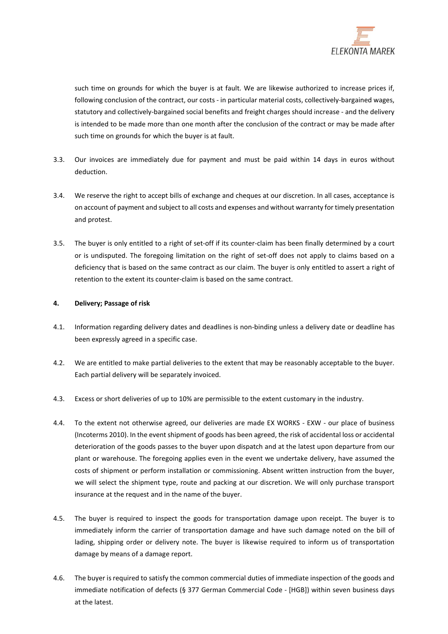

such time on grounds for which the buyer is at fault. We are likewise authorized to increase prices if, following conclusion of the contract, our costs - in particular material costs, collectively-bargained wages, statutory and collectively-bargained social benefits and freight charges should increase - and the delivery is intended to be made more than one month after the conclusion of the contract or may be made after such time on grounds for which the buyer is at fault.

- 3.3. Our invoices are immediately due for payment and must be paid within 14 days in euros without deduction.
- 3.4. We reserve the right to accept bills of exchange and cheques at our discretion. In all cases, acceptance is on account of payment and subject to all costs and expenses and without warranty for timely presentation and protest.
- 3.5. The buyer is only entitled to a right of set-off if its counter-claim has been finally determined by a court or is undisputed. The foregoing limitation on the right of set-off does not apply to claims based on a deficiency that is based on the same contract as our claim. The buyer is only entitled to assert a right of retention to the extent its counter-claim is based on the same contract.

# **4. Delivery; Passage of risk**

- 4.1. Information regarding delivery dates and deadlines is non-binding unless a delivery date or deadline has been expressly agreed in a specific case.
- 4.2. We are entitled to make partial deliveries to the extent that may be reasonably acceptable to the buyer. Each partial delivery will be separately invoiced.
- 4.3. Excess or short deliveries of up to 10% are permissible to the extent customary in the industry.
- 4.4. To the extent not otherwise agreed, our deliveries are made EX WORKS EXW our place of business (Incoterms 2010). In the event shipment of goods has been agreed, the risk of accidental loss or accidental deterioration of the goods passes to the buyer upon dispatch and at the latest upon departure from our plant or warehouse. The foregoing applies even in the event we undertake delivery, have assumed the costs of shipment or perform installation or commissioning. Absent written instruction from the buyer, we will select the shipment type, route and packing at our discretion. We will only purchase transport insurance at the request and in the name of the buyer.
- 4.5. The buyer is required to inspect the goods for transportation damage upon receipt. The buyer is to immediately inform the carrier of transportation damage and have such damage noted on the bill of lading, shipping order or delivery note. The buyer is likewise required to inform us of transportation damage by means of a damage report.
- 4.6. The buyer is required to satisfy the common commercial duties of immediate inspection of the goods and immediate notification of defects (§ 377 German Commercial Code - [HGB]) within seven business days at the latest.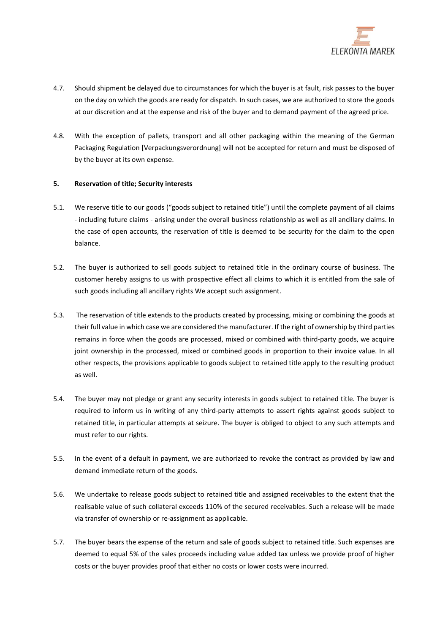

- 4.7. Should shipment be delayed due to circumstances for which the buyer is at fault, risk passes to the buyer on the day on which the goods are ready for dispatch. In such cases, we are authorized to store the goods at our discretion and at the expense and risk of the buyer and to demand payment of the agreed price.
- 4.8. With the exception of pallets, transport and all other packaging within the meaning of the German Packaging Regulation [Verpackungsverordnung] will not be accepted for return and must be disposed of by the buyer at its own expense.

# **5. Reservation of title; Security interests**

- 5.1. We reserve title to our goods ("goods subject to retained title") until the complete payment of all claims - including future claims - arising under the overall business relationship as well as all ancillary claims. In the case of open accounts, the reservation of title is deemed to be security for the claim to the open balance.
- 5.2. The buyer is authorized to sell goods subject to retained title in the ordinary course of business. The customer hereby assigns to us with prospective effect all claims to which it is entitled from the sale of such goods including all ancillary rights We accept such assignment.
- 5.3. The reservation of title extends to the products created by processing, mixing or combining the goods at their full value in which case we are considered the manufacturer. If the right of ownership by third parties remains in force when the goods are processed, mixed or combined with third-party goods, we acquire joint ownership in the processed, mixed or combined goods in proportion to their invoice value. In all other respects, the provisions applicable to goods subject to retained title apply to the resulting product as well.
- 5.4. The buyer may not pledge or grant any security interests in goods subject to retained title. The buyer is required to inform us in writing of any third-party attempts to assert rights against goods subject to retained title, in particular attempts at seizure. The buyer is obliged to object to any such attempts and must refer to our rights.
- 5.5. In the event of a default in payment, we are authorized to revoke the contract as provided by law and demand immediate return of the goods.
- 5.6. We undertake to release goods subject to retained title and assigned receivables to the extent that the realisable value of such collateral exceeds 110% of the secured receivables. Such a release will be made via transfer of ownership or re-assignment as applicable.
- 5.7. The buyer bears the expense of the return and sale of goods subject to retained title. Such expenses are deemed to equal 5% of the sales proceeds including value added tax unless we provide proof of higher costs or the buyer provides proof that either no costs or lower costs were incurred.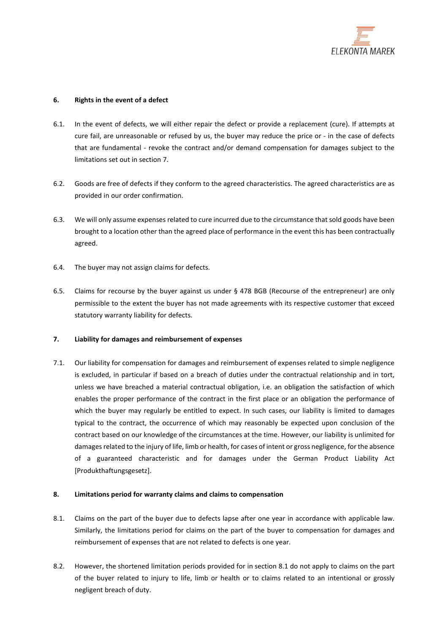

# **6. Rights in the event of a defect**

- 6.1. In the event of defects, we will either repair the defect or provide a replacement (cure). If attempts at cure fail, are unreasonable or refused by us, the buyer may reduce the price or - in the case of defects that are fundamental - revoke the contract and/or demand compensation for damages subject to the limitations set out in section [7.](#page-3-0)
- 6.2. Goods are free of defects if they conform to the agreed characteristics. The agreed characteristics are as provided in our order confirmation.
- 6.3. We will only assume expenses related to cure incurred due to the circumstance that sold goods have been brought to a location other than the agreed place of performance in the event this has been contractually agreed.
- 6.4. The buyer may not assign claims for defects.
- 6.5. Claims for recourse by the buyer against us under § 478 BGB (Recourse of the entrepreneur) are only permissible to the extent the buyer has not made agreements with its respective customer that exceed statutory warranty liability for defects.

# <span id="page-3-0"></span>**7. Liability for damages and reimbursement of expenses**

7.1. Our liability for compensation for damages and reimbursement of expenses related to simple negligence is excluded, in particular if based on a breach of duties under the contractual relationship and in tort, unless we have breached a material contractual obligation, i.e. an obligation the satisfaction of which enables the proper performance of the contract in the first place or an obligation the performance of which the buyer may regularly be entitled to expect. In such cases, our liability is limited to damages typical to the contract, the occurrence of which may reasonably be expected upon conclusion of the contract based on our knowledge of the circumstances at the time. However, our liability is unlimited for damages related to the injury of life, limb or health, for cases of intent or gross negligence, for the absence of a guaranteed characteristic and for damages under the German Product Liability Act [Produkthaftungsgesetz].

# **8. Limitations period for warranty claims and claims to compensation**

- 8.1. Claims on the part of the buyer due to defects lapse after one year in accordance with applicable law. Similarly, the limitations period for claims on the part of the buyer to compensation for damages and reimbursement of expenses that are not related to defects is one year.
- 8.2. However, the shortened limitation periods provided for in section 8.1 do not apply to claims on the part of the buyer related to injury to life, limb or health or to claims related to an intentional or grossly negligent breach of duty.